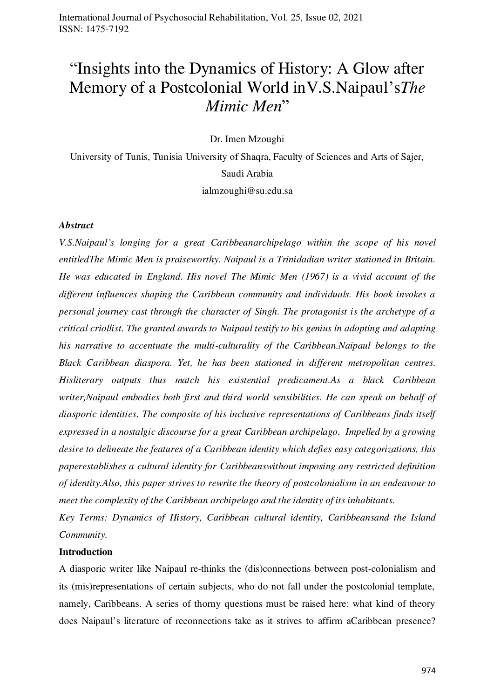# "Insights into the Dynamics of History: A Glow after Memory of a Postcolonial World inV.S.Naipaul's*The Mimic Men*"

Dr. Imen Mzoughi

University of Tunis, Tunisia University of Shaqra, Faculty of Sciences and Arts of Sajer, Saudi Arabia ialmzoughi@su.edu.sa

### *Abstract*

*V.S.Naipaul's longing for a great Caribbeanarchipelago within the scope of his novel entitledThe Mimic Men is praiseworthy. Naipaul is a Trinidadian writer stationed in Britain. He was educated in England. His novel The Mimic Men (1967) is a vivid account of the different influences shaping the Caribbean community and individuals. His book invokes a personal journey cast through the character of Singh. The protagonist is the archetype of a critical criollist. The granted awards to Naipaul testify to his genius in adopting and adapting his narrative to accentuate the multi-culturality of the Caribbean.Naipaul belongs to the Black Caribbean diaspora. Yet, he has been stationed in different metropolitan centres. Hisliterary outputs thus match his existential predicament.As a black Caribbean writer,Naipaul embodies both first and third world sensibilities. He can speak on behalf of diasporic identities. The composite of his inclusive representations of Caribbeans finds itself expressed in a nostalgic discourse for a great Caribbean archipelago. Impelled by a growing desire to delineate the features of a Caribbean identity which defies easy categorizations, this paperestablishes a cultural identity for Caribbeanswithout imposing any restricted definition of identity.Also, this paper strives to rewrite the theory of postcolonialism in an endeavour to meet the complexity of the Caribbean archipelago and the identity of its inhabitants.* 

*Key Terms: Dynamics of History, Caribbean cultural identity, Caribbeansand the Island Community.* 

#### **Introduction**

A diasporic writer like Naipaul re-thinks the (dis)connections between post-colonialism and its (mis)representations of certain subjects, who do not fall under the postcolonial template, namely, Caribbeans. A series of thorny questions must be raised here: what kind of theory does Naipaul's literature of reconnections take as it strives to affirm aCaribbean presence?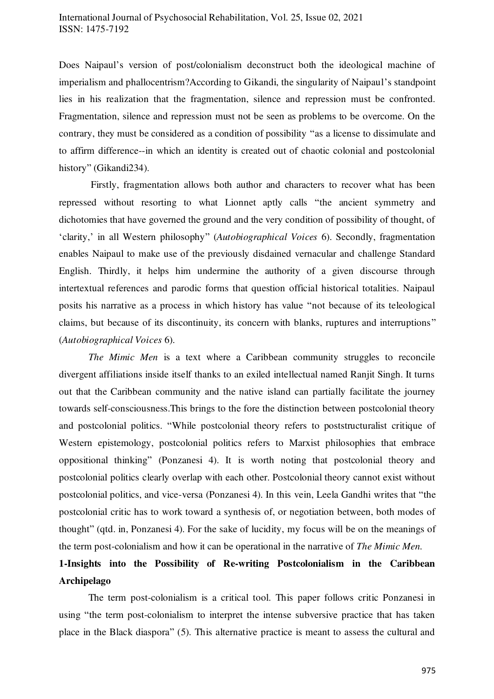Does Naipaul's version of post/colonialism deconstruct both the ideological machine of imperialism and phallocentrism?According to Gikandi, the singularity of Naipaul's standpoint lies in his realization that the fragmentation, silence and repression must be confronted. Fragmentation, silence and repression must not be seen as problems to be overcome. On the contrary, they must be considered as a condition of possibility "as a license to dissimulate and to affirm difference--in which an identity is created out of chaotic colonial and postcolonial history" (Gikandi234).

 Firstly, fragmentation allows both author and characters to recover what has been repressed without resorting to what Lionnet aptly calls "the ancient symmetry and dichotomies that have governed the ground and the very condition of possibility of thought, of 'clarity,' in all Western philosophy" (*Autobiographical Voices* 6). Secondly, fragmentation enables Naipaul to make use of the previously disdained vernacular and challenge Standard English. Thirdly, it helps him undermine the authority of a given discourse through intertextual references and parodic forms that question official historical totalities. Naipaul posits his narrative as a process in which history has value "not because of its teleological claims, but because of its discontinuity, its concern with blanks, ruptures and interruptions" (*Autobiographical Voices* 6).

*The Mimic Men* is a text where a Caribbean community struggles to reconcile divergent affiliations inside itself thanks to an exiled intellectual named Ranjit Singh. It turns out that the Caribbean community and the native island can partially facilitate the journey towards self-consciousness.This brings to the fore the distinction between postcolonial theory and postcolonial politics. "While postcolonial theory refers to poststructuralist critique of Western epistemology, postcolonial politics refers to Marxist philosophies that embrace oppositional thinking" (Ponzanesi 4). It is worth noting that postcolonial theory and postcolonial politics clearly overlap with each other. Postcolonial theory cannot exist without postcolonial politics, and vice-versa (Ponzanesi 4). In this vein, Leela Gandhi writes that "the postcolonial critic has to work toward a synthesis of, or negotiation between, both modes of thought" (qtd. in, Ponzanesi 4). For the sake of lucidity, my focus will be on the meanings of the term post-colonialism and how it can be operational in the narrative of *The Mimic Men.* 

# **1-Insights into the Possibility of Re-writing Postcolonialism in the Caribbean Archipelago**

The term post-colonialism is a critical tool. This paper follows critic Ponzanesi in using "the term post-colonialism to interpret the intense subversive practice that has taken place in the Black diaspora" (5). This alternative practice is meant to assess the cultural and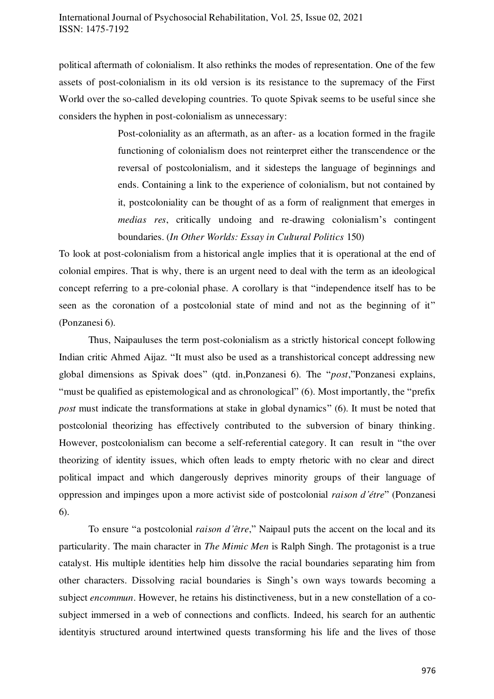political aftermath of colonialism. It also rethinks the modes of representation. One of the few assets of post-colonialism in its old version is its resistance to the supremacy of the First World over the so-called developing countries. To quote Spivak seems to be useful since she considers the hyphen in post-colonialism as unnecessary:

> Post-coloniality as an aftermath, as an after- as a location formed in the fragile functioning of colonialism does not reinterpret either the transcendence or the reversal of postcolonialism, and it sidesteps the language of beginnings and ends. Containing a link to the experience of colonialism, but not contained by it, postcoloniality can be thought of as a form of realignment that emerges in *medias res*, critically undoing and re-drawing colonialism's contingent boundaries. (*In Other Worlds: Essay in Cultural Politics* 150)

To look at post-colonialism from a historical angle implies that it is operational at the end of colonial empires. That is why, there is an urgent need to deal with the term as an ideological concept referring to a pre-colonial phase. A corollary is that "independence itself has to be seen as the coronation of a postcolonial state of mind and not as the beginning of it" (Ponzanesi 6).

Thus, Naipauluses the term post-colonialism as a strictly historical concept following Indian critic Ahmed Aijaz. "It must also be used as a transhistorical concept addressing new global dimensions as Spivak does" (qtd. in,Ponzanesi 6). The "*post*,"Ponzanesi explains, "must be qualified as epistemological and as chronological" (6). Most importantly, the "prefix *post* must indicate the transformations at stake in global dynamics" (6). It must be noted that postcolonial theorizing has effectively contributed to the subversion of binary thinking. However, postcolonialism can become a self-referential category. It can result in "the over theorizing of identity issues, which often leads to empty rhetoric with no clear and direct political impact and which dangerously deprives minority groups of their language of oppression and impinges upon a more activist side of postcolonial *raison d'étre*" (Ponzanesi 6).

To ensure "a postcolonial *raison d'être*," Naipaul puts the accent on the local and its particularity. The main character in *The Mimic Men* is Ralph Singh. The protagonist is a true catalyst. His multiple identities help him dissolve the racial boundaries separating him from other characters. Dissolving racial boundaries is Singh's own ways towards becoming a subject *encommun*. However, he retains his distinctiveness, but in a new constellation of a cosubject immersed in a web of connections and conflicts. Indeed, his search for an authentic identityis structured around intertwined quests transforming his life and the lives of those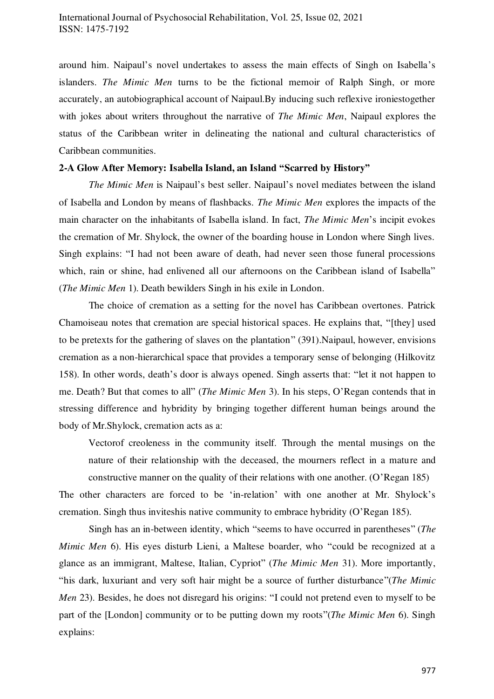around him. Naipaul's novel undertakes to assess the main effects of Singh on Isabella's islanders. *The Mimic Men* turns to be the fictional memoir of Ralph Singh, or more accurately, an autobiographical account of Naipaul.By inducing such reflexive ironiestogether with jokes about writers throughout the narrative of *The Mimic Men*, Naipaul explores the status of the Caribbean writer in delineating the national and cultural characteristics of Caribbean communities.

### **2-A Glow After Memory: Isabella Island, an Island "Scarred by History"**

*The Mimic Men* is Naipaul's best seller. Naipaul's novel mediates between the island of Isabella and London by means of flashbacks. *The Mimic Men* explores the impacts of the main character on the inhabitants of Isabella island. In fact, *The Mimic Men*'s incipit evokes the cremation of Mr. Shylock, the owner of the boarding house in London where Singh lives. Singh explains: "I had not been aware of death, had never seen those funeral processions which, rain or shine, had enlivened all our afternoons on the Caribbean island of Isabella" (*The Mimic Men* 1). Death bewilders Singh in his exile in London.

The choice of cremation as a setting for the novel has Caribbean overtones. Patrick Chamoiseau notes that cremation are special historical spaces. He explains that, "[they] used to be pretexts for the gathering of slaves on the plantation" (391).Naipaul, however, envisions cremation as a non-hierarchical space that provides a temporary sense of belonging (Hilkovitz 158). In other words, death's door is always opened. Singh asserts that: "let it not happen to me. Death? But that comes to all" (*The Mimic Men* 3). In his steps, O'Regan contends that in stressing difference and hybridity by bringing together different human beings around the body of Mr.Shylock, cremation acts as a:

Vectorof creoleness in the community itself. Through the mental musings on the nature of their relationship with the deceased, the mourners reflect in a mature and constructive manner on the quality of their relations with one another. (O'Regan 185)

The other characters are forced to be 'in-relation' with one another at Mr. Shylock's cremation. Singh thus inviteshis native community to embrace hybridity (O'Regan 185).

Singh has an in-between identity, which "seems to have occurred in parentheses" (*The Mimic Men* 6). His eyes disturb Lieni, a Maltese boarder, who "could be recognized at a glance as an immigrant, Maltese, Italian, Cypriot" (*The Mimic Men* 31). More importantly, "his dark, luxuriant and very soft hair might be a source of further disturbance"(*The Mimic Men* 23). Besides, he does not disregard his origins: "I could not pretend even to myself to be part of the [London] community or to be putting down my roots"(*The Mimic Men* 6). Singh explains: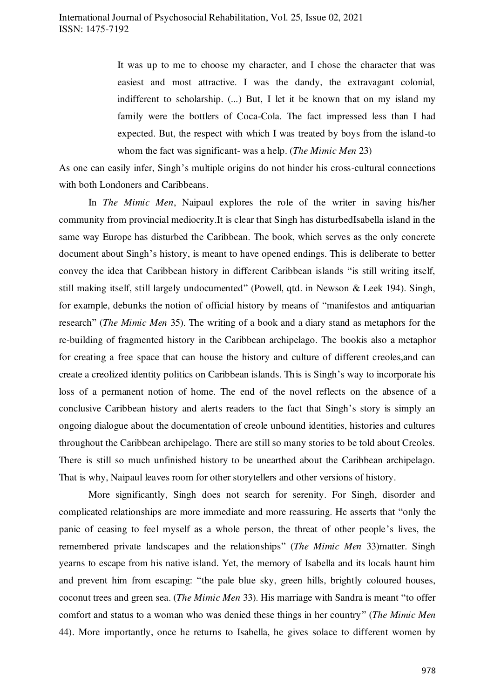It was up to me to choose my character, and I chose the character that was easiest and most attractive. I was the dandy, the extravagant colonial, indifferent to scholarship. (...) But, I let it be known that on my island my family were the bottlers of Coca-Cola. The fact impressed less than I had expected. But, the respect with which I was treated by boys from the island-to whom the fact was significant- was a help. (*The Mimic Men* 23)

As one can easily infer, Singh's multiple origins do not hinder his cross-cultural connections with both Londoners and Caribbeans.

In *The Mimic Men*, Naipaul explores the role of the writer in saving his/her community from provincial mediocrity.It is clear that Singh has disturbedIsabella island in the same way Europe has disturbed the Caribbean. The book, which serves as the only concrete document about Singh's history, is meant to have opened endings. This is deliberate to better convey the idea that Caribbean history in different Caribbean islands "is still writing itself, still making itself, still largely undocumented" (Powell, qtd. in Newson & Leek 194). Singh, for example, debunks the notion of official history by means of "manifestos and antiquarian research" (*The Mimic Men* 35). The writing of a book and a diary stand as metaphors for the re-building of fragmented history in the Caribbean archipelago. The bookis also a metaphor for creating a free space that can house the history and culture of different creoles,and can create a creolized identity politics on Caribbean islands. This is Singh's way to incorporate his loss of a permanent notion of home. The end of the novel reflects on the absence of a conclusive Caribbean history and alerts readers to the fact that Singh's story is simply an ongoing dialogue about the documentation of creole unbound identities, histories and cultures throughout the Caribbean archipelago. There are still so many stories to be told about Creoles. There is still so much unfinished history to be unearthed about the Caribbean archipelago. That is why, Naipaul leaves room for other storytellers and other versions of history.

More significantly, Singh does not search for serenity. For Singh, disorder and complicated relationships are more immediate and more reassuring. He asserts that "only the panic of ceasing to feel myself as a whole person, the threat of other people's lives, the remembered private landscapes and the relationships" (*The Mimic Men* 33)matter. Singh yearns to escape from his native island. Yet, the memory of Isabella and its locals haunt him and prevent him from escaping: "the pale blue sky, green hills, brightly coloured houses, coconut trees and green sea. (*The Mimic Men* 33). His marriage with Sandra is meant "to offer comfort and status to a woman who was denied these things in her country" (*The Mimic Men* 44). More importantly, once he returns to Isabella, he gives solace to different women by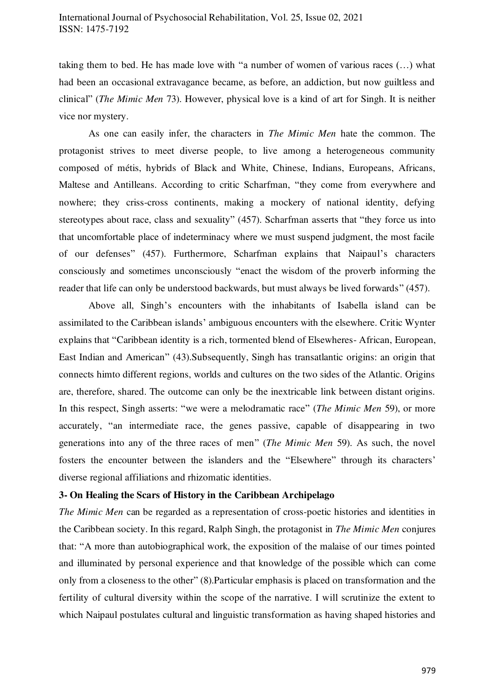taking them to bed. He has made love with "a number of women of various races (…) what had been an occasional extravagance became, as before, an addiction, but now guiltless and clinical" (*The Mimic Men* 73). However, physical love is a kind of art for Singh. It is neither vice nor mystery.

As one can easily infer, the characters in *The Mimic Men* hate the common. The protagonist strives to meet diverse people, to live among a heterogeneous community composed of métis, hybrids of Black and White, Chinese, Indians, Europeans, Africans, Maltese and Antilleans. According to critic Scharfman, "they come from everywhere and nowhere; they criss-cross continents, making a mockery of national identity, defying stereotypes about race, class and sexuality" (457). Scharfman asserts that "they force us into that uncomfortable place of indeterminacy where we must suspend judgment, the most facile of our defenses" (457). Furthermore, Scharfman explains that Naipaul's characters consciously and sometimes unconsciously "enact the wisdom of the proverb informing the reader that life can only be understood backwards, but must always be lived forwards" (457).

Above all, Singh's encounters with the inhabitants of Isabella island can be assimilated to the Caribbean islands' ambiguous encounters with the elsewhere. Critic Wynter explains that "Caribbean identity is a rich, tormented blend of Elsewheres- African, European, East Indian and American" (43).Subsequently, Singh has transatlantic origins: an origin that connects himto different regions, worlds and cultures on the two sides of the Atlantic. Origins are, therefore, shared. The outcome can only be the inextricable link between distant origins. In this respect, Singh asserts: "we were a melodramatic race" (*The Mimic Men* 59), or more accurately, "an intermediate race, the genes passive, capable of disappearing in two generations into any of the three races of men" (*The Mimic Men* 59). As such, the novel fosters the encounter between the islanders and the "Elsewhere" through its characters' diverse regional affiliations and rhizomatic identities.

## **3- On Healing the Scars of History in the Caribbean Archipelago**

*The Mimic Men* can be regarded as a representation of cross-poetic histories and identities in the Caribbean society. In this regard, Ralph Singh, the protagonist in *The Mimic Men* conjures that: "A more than autobiographical work, the exposition of the malaise of our times pointed and illuminated by personal experience and that knowledge of the possible which can come only from a closeness to the other" (8).Particular emphasis is placed on transformation and the fertility of cultural diversity within the scope of the narrative. I will scrutinize the extent to which Naipaul postulates cultural and linguistic transformation as having shaped histories and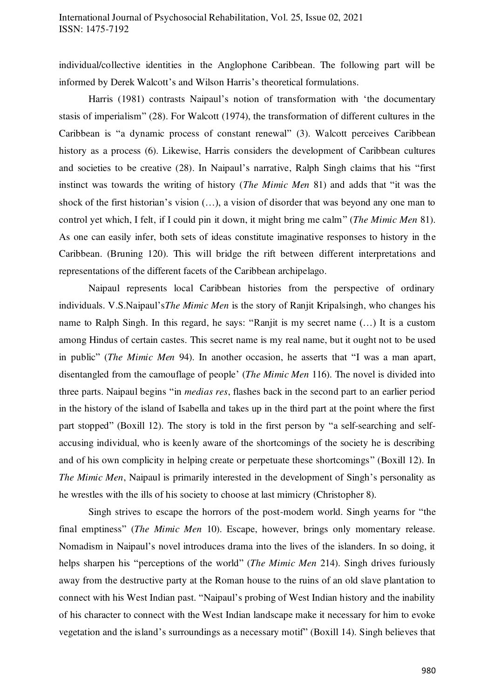individual/collective identities in the Anglophone Caribbean. The following part will be informed by Derek Walcott's and Wilson Harris's theoretical formulations.

Harris (1981) contrasts Naipaul's notion of transformation with 'the documentary stasis of imperialism" (28). For Walcott (1974), the transformation of different cultures in the Caribbean is "a dynamic process of constant renewal" (3). Walcott perceives Caribbean history as a process (6). Likewise, Harris considers the development of Caribbean cultures and societies to be creative (28). In Naipaul's narrative, Ralph Singh claims that his "first instinct was towards the writing of history (*The Mimic Men* 81) and adds that "it was the shock of the first historian's vision (…), a vision of disorder that was beyond any one man to control yet which, I felt, if I could pin it down, it might bring me calm" (*The Mimic Men* 81). As one can easily infer, both sets of ideas constitute imaginative responses to history in the Caribbean. (Bruning 120). This will bridge the rift between different interpretations and representations of the different facets of the Caribbean archipelago.

Naipaul represents local Caribbean histories from the perspective of ordinary individuals. V.S.Naipaul's*The Mimic Men* is the story of Ranjit Kripalsingh, who changes his name to Ralph Singh. In this regard, he says: "Ranjit is my secret name (…) It is a custom among Hindus of certain castes. This secret name is my real name, but it ought not to be used in public" (*The Mimic Men* 94). In another occasion, he asserts that "I was a man apart, disentangled from the camouflage of people' (*The Mimic Men* 116). The novel is divided into three parts. Naipaul begins "in *medias res*, flashes back in the second part to an earlier period in the history of the island of Isabella and takes up in the third part at the point where the first part stopped" (Boxill 12). The story is told in the first person by "a self-searching and selfaccusing individual, who is keenly aware of the shortcomings of the society he is describing and of his own complicity in helping create or perpetuate these shortcomings" (Boxill 12). In *The Mimic Men*, Naipaul is primarily interested in the development of Singh's personality as he wrestles with the ills of his society to choose at last mimicry (Christopher 8).

Singh strives to escape the horrors of the post-modern world. Singh yearns for "the final emptiness" (*The Mimic Men* 10). Escape, however, brings only momentary release. Nomadism in Naipaul's novel introduces drama into the lives of the islanders. In so doing, it helps sharpen his "perceptions of the world" (*The Mimic Men* 214). Singh drives furiously away from the destructive party at the Roman house to the ruins of an old slave plantation to connect with his West Indian past. "Naipaul's probing of West Indian history and the inability of his character to connect with the West Indian landscape make it necessary for him to evoke vegetation and the island's surroundings as a necessary motif" (Boxill 14). Singh believes that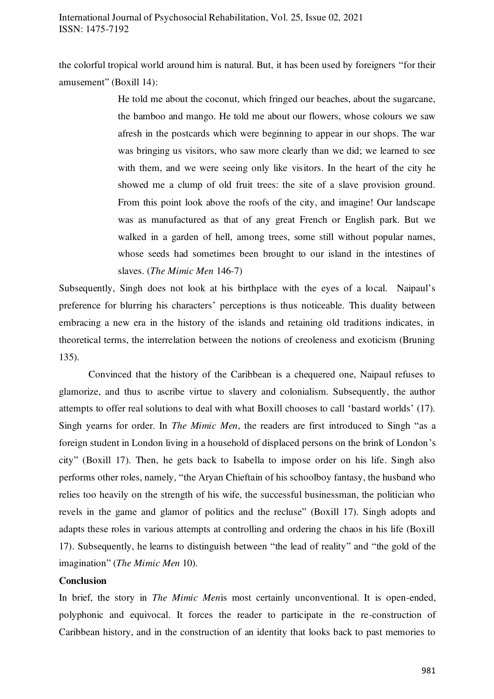the colorful tropical world around him is natural. But, it has been used by foreigners "for their amusement" (Boxill 14):

> He told me about the coconut, which fringed our beaches, about the sugarcane, the bamboo and mango. He told me about our flowers, whose colours we saw afresh in the postcards which were beginning to appear in our shops. The war was bringing us visitors, who saw more clearly than we did; we learned to see with them, and we were seeing only like visitors. In the heart of the city he showed me a clump of old fruit trees: the site of a slave provision ground. From this point look above the roofs of the city, and imagine! Our landscape was as manufactured as that of any great French or English park. But we walked in a garden of hell, among trees, some still without popular names, whose seeds had sometimes been brought to our island in the intestines of slaves. (*The Mimic Men* 146-7)

Subsequently, Singh does not look at his birthplace with the eyes of a local. Naipaul's preference for blurring his characters' perceptions is thus noticeable. This duality between embracing a new era in the history of the islands and retaining old traditions indicates, in theoretical terms, the interrelation between the notions of creoleness and exoticism (Bruning 135).

Convinced that the history of the Caribbean is a chequered one, Naipaul refuses to glamorize, and thus to ascribe virtue to slavery and colonialism. Subsequently, the author attempts to offer real solutions to deal with what Boxill chooses to call 'bastard worlds' (17). Singh yearns for order. In *The Mimic Men*, the readers are first introduced to Singh "as a foreign student in London living in a household of displaced persons on the brink of London's city" (Boxill 17). Then, he gets back to Isabella to impose order on his life. Singh also performs other roles, namely, "the Aryan Chieftain of his schoolboy fantasy, the husband who relies too heavily on the strength of his wife, the successful businessman, the politician who revels in the game and glamor of politics and the recluse" (Boxill 17). Singh adopts and adapts these roles in various attempts at controlling and ordering the chaos in his life (Boxill 17). Subsequently, he learns to distinguish between "the lead of reality" and "the gold of the imagination" (*The Mimic Men* 10).

### **Conclusion**

In brief, the story in *The Mimic Men*is most certainly unconventional. It is open-ended, polyphonic and equivocal. It forces the reader to participate in the re-construction of Caribbean history, and in the construction of an identity that looks back to past memories to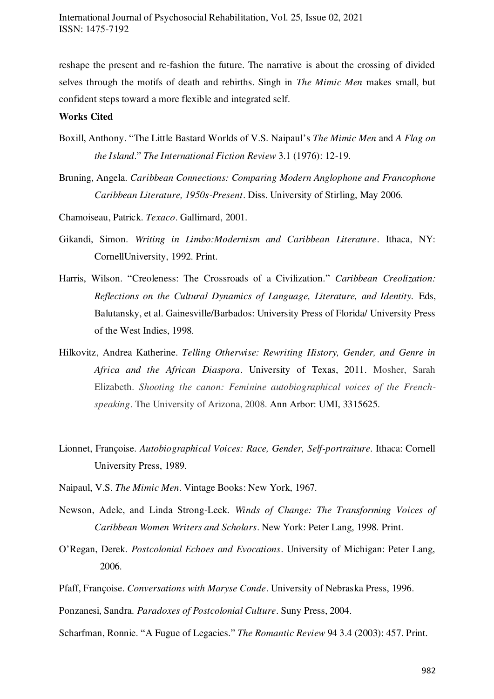reshape the present and re-fashion the future. The narrative is about the crossing of divided selves through the motifs of death and rebirths. Singh in *The Mimic Men* makes small, but confident steps toward a more flexible and integrated self.

#### **Works Cited**

- Boxill, Anthony. "The Little Bastard Worlds of V.S. Naipaul's *The Mimic Men* and *A Flag on the Island*." *The International Fiction Review* 3.1 (1976): 12-19.
- Bruning, Angela. *Caribbean Connections: Comparing Modern Anglophone and Francophone Caribbean Literature, 1950s-Present*. Diss. University of Stirling, May 2006.

Chamoiseau, Patrick. *Texaco*. Gallimard, 2001.

- Gikandi, Simon. *Writing in Limbo:Modernism and Caribbean Literature*. Ithaca, NY: CornellUniversity, 1992. Print.
- Harris, Wilson. "Creoleness: The Crossroads of a Civilization." *Caribbean Creolization: Reflections on the Cultural Dynamics of Language, Literature, and Identity.* Eds, Balutansky, et al. Gainesville/Barbados: University Press of Florida/ University Press of the West Indies, 1998.
- Hilkovitz, Andrea Katherine. *Telling Otherwise: Rewriting History, Gender, and Genre in Africa and the African Diaspora*. University of Texas, 2011. Mosher, Sarah Elizabeth. *Shooting the canon: Feminine autobiographical voices of the Frenchspeaking*. The University of Arizona, 2008. Ann Arbor: UMI, 3315625.
- Lionnet, Françoise. *Autobiographical Voices: Race, Gender, Self-portraiture*. Ithaca: Cornell University Press, 1989.
- Naipaul, V.S. *The Mimic Men*. Vintage Books: New York, 1967.
- Newson, Adele, and Linda Strong-Leek. *Winds of Change: The Transforming Voices of Caribbean Women Writers and Scholars*. New York: Peter Lang, 1998. Print.
- O'Regan, Derek. *Postcolonial Echoes and Evocations*. University of Michigan: Peter Lang, 2006.
- Pfaff, Françoise. *Conversations with Maryse Conde*. University of Nebraska Press, 1996.
- Ponzanesi, Sandra. *Paradoxes of Postcolonial Culture*. Suny Press, 2004.

Scharfman, Ronnie. "A Fugue of Legacies." *The Romantic Review* 94 3.4 (2003): 457. Print.